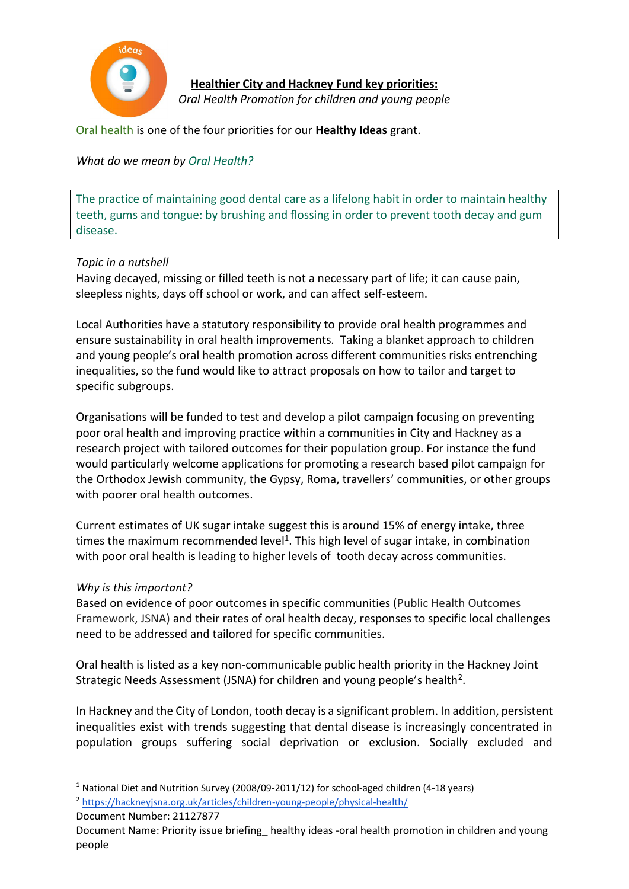

**Healthier City and Hackney Fund key priorities:**  *Oral Health Promotion for children and young people*

Oral health is one of the four priorities for our **Healthy Ideas** grant.

*What do we mean by Oral Health?*

The practice of maintaining good dental care as a lifelong habit in order to maintain healthy teeth, gums and tongue: by brushing and flossing in order to prevent tooth decay and gum disease.

## *Topic in a nutshell*

Having decayed, missing or filled teeth is not a necessary part of life; it can cause pain, sleepless nights, days off school or work, and can affect self-esteem.

Local Authorities have a statutory responsibility to provide oral health programmes and ensure sustainability in oral health improvements. Taking a blanket approach to children and young people's oral health promotion across different communities risks entrenching inequalities, so the fund would like to attract proposals on how to tailor and target to specific subgroups.

Organisations will be funded to test and develop a pilot campaign focusing on preventing poor oral health and improving practice within a communities in City and Hackney as a research project with tailored outcomes for their population group. For instance the fund would particularly welcome applications for promoting a research based pilot campaign for the Orthodox Jewish community, the Gypsy, Roma, travellers' communities, or other groups with poorer oral health outcomes.

Current estimates of UK sugar intake suggest this is around 15% of energy intake, three times the maximum recommended level<sup>1</sup>. This high level of sugar intake, in combination with poor oral health is leading to higher levels of tooth decay across communities.

## *Why is this important?*

Based on evidence of poor outcomes in specific communities (Public Health Outcomes Framework, JSNA) and their rates of oral health decay, responses to specific local challenges need to be addressed and tailored for specific communities.

Oral health is listed as a key non-communicable public health priority in the Hackney Joint Strategic Needs Assessment (JSNA) for children and young people's health<sup>2</sup>.

In Hackney and the City of London, tooth decay is a significant problem. In addition, persistent inequalities exist with trends suggesting that dental disease is increasingly concentrated in population groups suffering social deprivation or exclusion. Socially excluded and

**.** 

<sup>1</sup> National Diet and Nutrition Survey (2008/09-2011/12) for school-aged children (4-18 years) 2 <https://hackneyjsna.org.uk/articles/children-young-people/physical-health/>

Document Number: 21127877

Document Name: Priority issue briefing\_ healthy ideas -oral health promotion in children and young people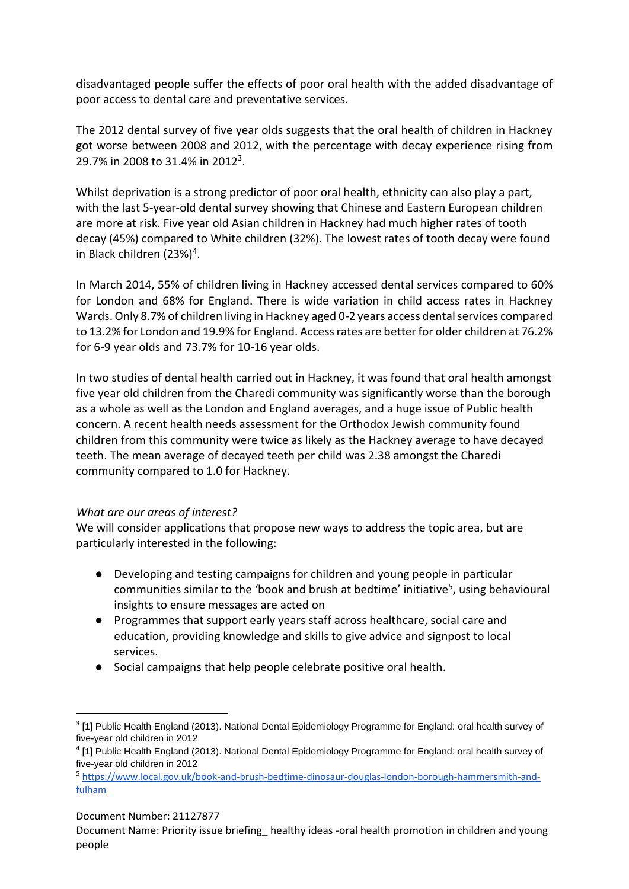disadvantaged people suffer the effects of poor oral health with the added disadvantage of poor access to dental care and preventative services.

The 2012 dental survey of five year olds suggests that the oral health of children in Hackney got worse between 2008 and 2012, with the percentage with decay experience rising from 29.7% in 2008 to 31.4% in 2012<sup>3</sup>.

Whilst deprivation is a strong predictor of poor oral health, ethnicity can also play a part, with the last 5-year-old dental survey showing that Chinese and Eastern European children are more at risk. Five year old Asian children in Hackney had much higher rates of tooth decay (45%) compared to White children (32%). The lowest rates of tooth decay were found in Black children (23%)<sup>4</sup>.

In March 2014, 55% of children living in Hackney accessed dental services compared to 60% for London and 68% for England. There is wide variation in child access rates in Hackney Wards. Only 8.7% of children living in Hackney aged 0-2 years access dental services compared to 13.2% for London and 19.9% for England. Access rates are better for older children at 76.2% for 6-9 year olds and 73.7% for 10-16 year olds.

In two studies of dental health carried out in Hackney, it was found that oral health amongst five year old children from the Charedi community was significantly worse than the borough as a whole as well as the London and England averages, and a huge issue of Public health concern. A recent health needs assessment for the Orthodox Jewish community found children from this community were twice as likely as the Hackney average to have decayed teeth. The mean average of decayed teeth per child was 2.38 amongst the Charedi community compared to 1.0 for Hackney.

## *What are our areas of interest?*

We will consider applications that propose new ways to address the topic area, but are particularly interested in the following:

- Developing and testing campaigns for children and young people in particular communities similar to the 'book and brush at bedtime' initiative<sup>5</sup>, using behavioural insights to ensure messages are acted on
- Programmes that support early years staff across healthcare, social care and education, providing knowledge and skills to give advice and signpost to local services.
- Social campaigns that help people celebrate positive oral health.

Document Number: 21127877

**.** 

Document Name: Priority issue briefing\_ healthy ideas -oral health promotion in children and young people

 $3$  [1] Public Health England (2013). National Dental Epidemiology Programme for England: oral health survey of five-year old children in 2012

<sup>&</sup>lt;sup>4</sup> [1] Public Health England (2013). National Dental Epidemiology Programme for England: oral health survey of five-year old children in 2012

<sup>5</sup> [https://www.local.gov.uk/book-and-brush-bedtime-dinosaur-douglas-london-borough-hammersmith-and](https://www.local.gov.uk/book-and-brush-bedtime-dinosaur-douglas-london-borough-hammersmith-and-fulham)[fulham](https://www.local.gov.uk/book-and-brush-bedtime-dinosaur-douglas-london-borough-hammersmith-and-fulham)